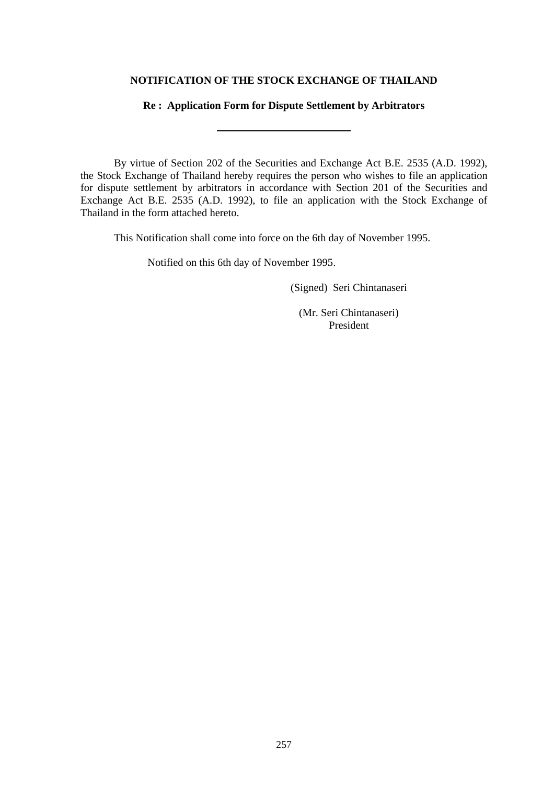# **NOTIFICATION OF THE STOCK EXCHANGE OF THAILAND**

## **Re : Application Form for Dispute Settlement by Arbitrators**

By virtue of Section 202 of the Securities and Exchange Act B.E. 2535 (A.D. 1992), the Stock Exchange of Thailand hereby requires the person who wishes to file an application for dispute settlement by arbitrators in accordance with Section 201 of the Securities and Exchange Act B.E. 2535 (A.D. 1992), to file an application with the Stock Exchange of Thailand in the form attached hereto.

This Notification shall come into force on the 6th day of November 1995.

Notified on this 6th day of November 1995.

(Signed) Seri Chintanaseri

(Mr. Seri Chintanaseri) President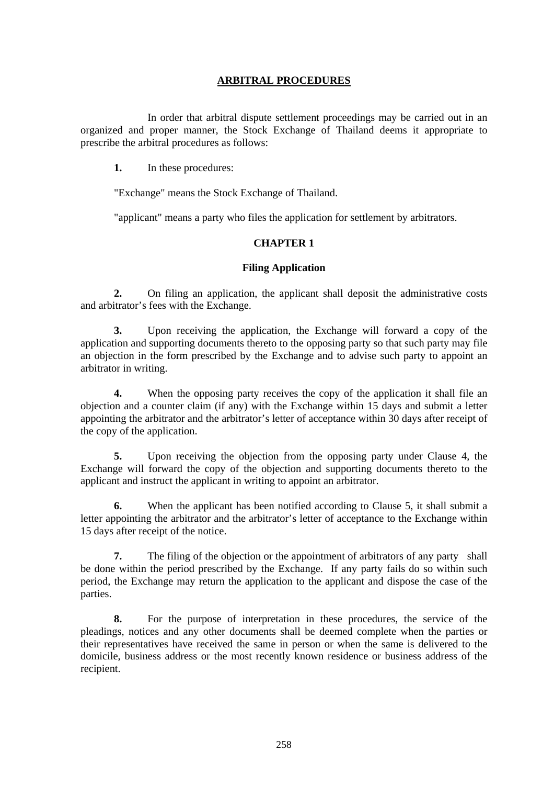# **ARBITRAL PROCEDURES**

 In order that arbitral dispute settlement proceedings may be carried out in an organized and proper manner, the Stock Exchange of Thailand deems it appropriate to prescribe the arbitral procedures as follows:

**1.** In these procedures:

"Exchange" means the Stock Exchange of Thailand.

"applicant" means a party who files the application for settlement by arbitrators.

## **CHAPTER 1**

#### **Filing Application**

**2.** On filing an application, the applicant shall deposit the administrative costs and arbitrator's fees with the Exchange.

**3.** Upon receiving the application, the Exchange will forward a copy of the application and supporting documents thereto to the opposing party so that such party may file an objection in the form prescribed by the Exchange and to advise such party to appoint an arbitrator in writing.

**4.** When the opposing party receives the copy of the application it shall file an objection and a counter claim (if any) with the Exchange within 15 days and submit a letter appointing the arbitrator and the arbitrator's letter of acceptance within 30 days after receipt of the copy of the application.

**5.** Upon receiving the objection from the opposing party under Clause 4, the Exchange will forward the copy of the objection and supporting documents thereto to the applicant and instruct the applicant in writing to appoint an arbitrator.

**6.** When the applicant has been notified according to Clause 5, it shall submit a letter appointing the arbitrator and the arbitrator's letter of acceptance to the Exchange within 15 days after receipt of the notice.

**7.** The filing of the objection or the appointment of arbitrators of any party shall be done within the period prescribed by the Exchange. If any party fails do so within such period, the Exchange may return the application to the applicant and dispose the case of the parties.

**8.** For the purpose of interpretation in these procedures, the service of the pleadings, notices and any other documents shall be deemed complete when the parties or their representatives have received the same in person or when the same is delivered to the domicile, business address or the most recently known residence or business address of the recipient.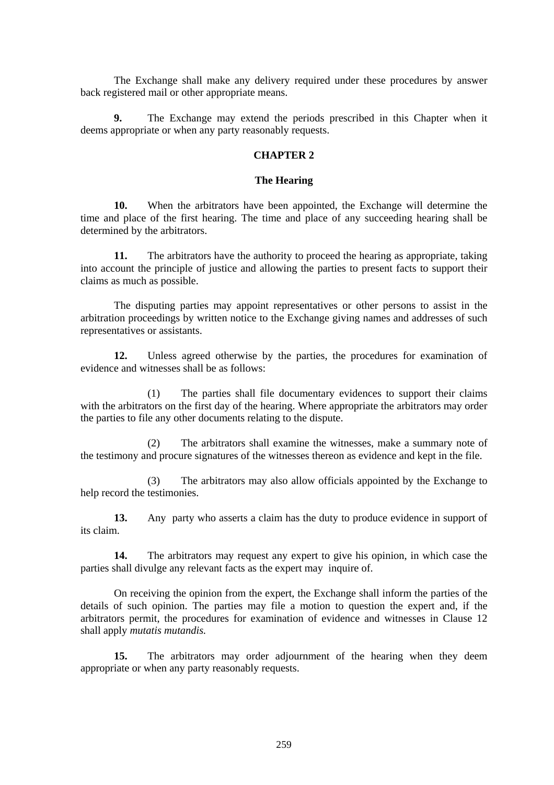The Exchange shall make any delivery required under these procedures by answer back registered mail or other appropriate means.

**9.** The Exchange may extend the periods prescribed in this Chapter when it deems appropriate or when any party reasonably requests.

### **CHAPTER 2**

#### **The Hearing**

**10.** When the arbitrators have been appointed, the Exchange will determine the time and place of the first hearing. The time and place of any succeeding hearing shall be determined by the arbitrators.

**11.** The arbitrators have the authority to proceed the hearing as appropriate, taking into account the principle of justice and allowing the parties to present facts to support their claims as much as possible.

The disputing parties may appoint representatives or other persons to assist in the arbitration proceedings by written notice to the Exchange giving names and addresses of such representatives or assistants.

**12.** Unless agreed otherwise by the parties, the procedures for examination of evidence and witnesses shall be as follows:

 (1) The parties shall file documentary evidences to support their claims with the arbitrators on the first day of the hearing. Where appropriate the arbitrators may order the parties to file any other documents relating to the dispute.

(2) The arbitrators shall examine the witnesses, make a summary note of the testimony and procure signatures of the witnesses thereon as evidence and kept in the file.

(3) The arbitrators may also allow officials appointed by the Exchange to help record the testimonies.

**13.** Any party who asserts a claim has the duty to produce evidence in support of its claim.

**14.** The arbitrators may request any expert to give his opinion, in which case the parties shall divulge any relevant facts as the expert may inquire of.

On receiving the opinion from the expert, the Exchange shall inform the parties of the details of such opinion. The parties may file a motion to question the expert and, if the arbitrators permit, the procedures for examination of evidence and witnesses in Clause 12 shall apply *mutatis mutandis.*

**15.** The arbitrators may order adjournment of the hearing when they deem appropriate or when any party reasonably requests.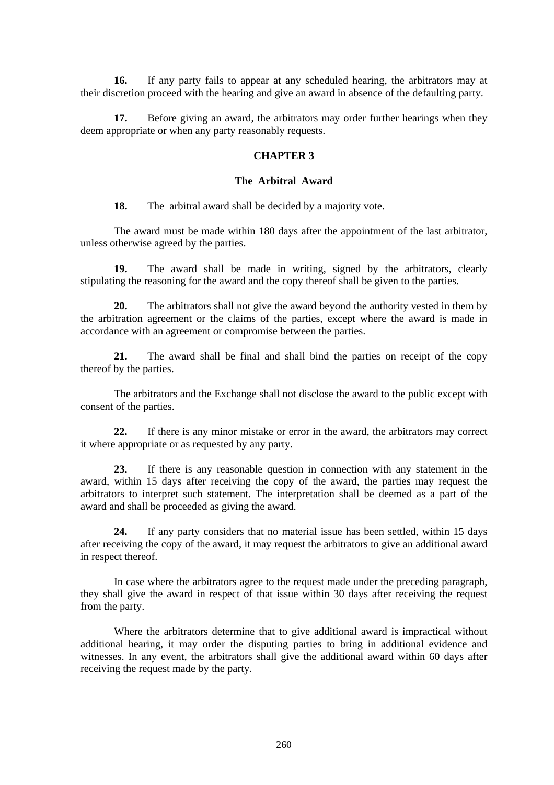**16.** If any party fails to appear at any scheduled hearing, the arbitrators may at their discretion proceed with the hearing and give an award in absence of the defaulting party.

**17.** Before giving an award, the arbitrators may order further hearings when they deem appropriate or when any party reasonably requests.

#### **CHAPTER 3**

## **The Arbitral Award**

**18.** The arbitral award shall be decided by a majority vote.

The award must be made within 180 days after the appointment of the last arbitrator, unless otherwise agreed by the parties.

**19.** The award shall be made in writing, signed by the arbitrators, clearly stipulating the reasoning for the award and the copy thereof shall be given to the parties.

**20.** The arbitrators shall not give the award beyond the authority vested in them by the arbitration agreement or the claims of the parties, except where the award is made in accordance with an agreement or compromise between the parties.

**21.** The award shall be final and shall bind the parties on receipt of the copy thereof by the parties.

The arbitrators and the Exchange shall not disclose the award to the public except with consent of the parties.

**22.** If there is any minor mistake or error in the award, the arbitrators may correct it where appropriate or as requested by any party.

**23.** If there is any reasonable question in connection with any statement in the award, within 15 days after receiving the copy of the award, the parties may request the arbitrators to interpret such statement. The interpretation shall be deemed as a part of the award and shall be proceeded as giving the award.

**24.** If any party considers that no material issue has been settled, within 15 days after receiving the copy of the award, it may request the arbitrators to give an additional award in respect thereof.

In case where the arbitrators agree to the request made under the preceding paragraph, they shall give the award in respect of that issue within 30 days after receiving the request from the party.

Where the arbitrators determine that to give additional award is impractical without additional hearing, it may order the disputing parties to bring in additional evidence and witnesses. In any event, the arbitrators shall give the additional award within 60 days after receiving the request made by the party.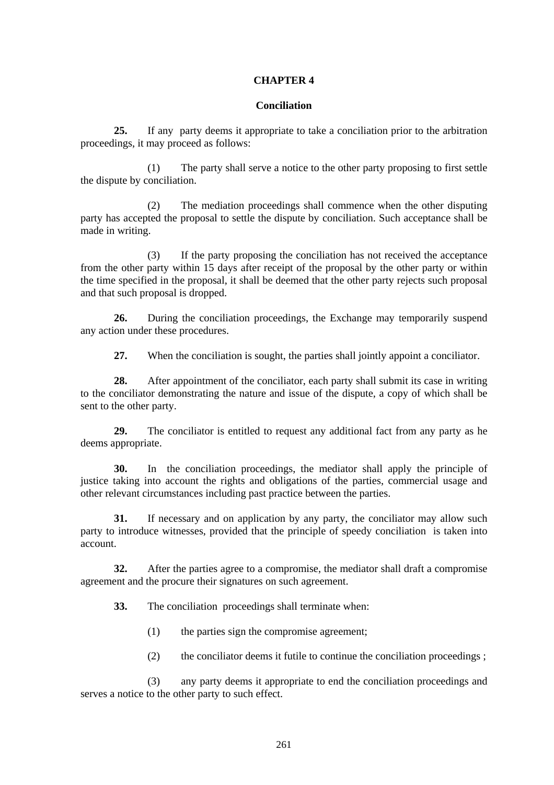## **CHAPTER 4**

#### **Conciliation**

**25.** If any party deems it appropriate to take a conciliation prior to the arbitration proceedings, it may proceed as follows:

(1) The party shall serve a notice to the other party proposing to first settle the dispute by conciliation.

(2) The mediation proceedings shall commence when the other disputing party has accepted the proposal to settle the dispute by conciliation. Such acceptance shall be made in writing.

(3) If the party proposing the conciliation has not received the acceptance from the other party within 15 days after receipt of the proposal by the other party or within the time specified in the proposal, it shall be deemed that the other party rejects such proposal and that such proposal is dropped.

**26.** During the conciliation proceedings, the Exchange may temporarily suspend any action under these procedures.

**27.** When the conciliation is sought, the parties shall jointly appoint a conciliator.

**28.** After appointment of the conciliator, each party shall submit its case in writing to the conciliator demonstrating the nature and issue of the dispute, a copy of which shall be sent to the other party.

**29.** The conciliator is entitled to request any additional fact from any party as he deems appropriate.

**30.** In the conciliation proceedings, the mediator shall apply the principle of justice taking into account the rights and obligations of the parties, commercial usage and other relevant circumstances including past practice between the parties.

**31.** If necessary and on application by any party, the conciliator may allow such party to introduce witnesses, provided that the principle of speedy conciliation is taken into account.

**32.** After the parties agree to a compromise, the mediator shall draft a compromise agreement and the procure their signatures on such agreement.

**33.** The conciliation proceedings shall terminate when:

- (1) the parties sign the compromise agreement;
- (2) the conciliator deems it futile to continue the conciliation proceedings ;

(3) any party deems it appropriate to end the conciliation proceedings and serves a notice to the other party to such effect.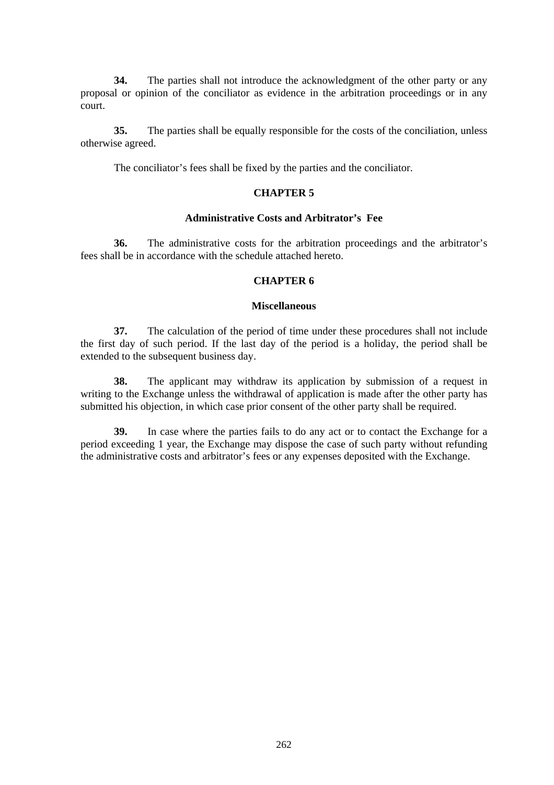**34.** The parties shall not introduce the acknowledgment of the other party or any proposal or opinion of the conciliator as evidence in the arbitration proceedings or in any court.

**35.** The parties shall be equally responsible for the costs of the conciliation, unless otherwise agreed.

The conciliator's fees shall be fixed by the parties and the conciliator.

#### **CHAPTER 5**

#### **Administrative Costs and Arbitrator's Fee**

**36.** The administrative costs for the arbitration proceedings and the arbitrator's fees shall be in accordance with the schedule attached hereto.

# **CHAPTER 6**

#### **Miscellaneous**

**37.** The calculation of the period of time under these procedures shall not include the first day of such period. If the last day of the period is a holiday, the period shall be extended to the subsequent business day.

**38.** The applicant may withdraw its application by submission of a request in writing to the Exchange unless the withdrawal of application is made after the other party has submitted his objection, in which case prior consent of the other party shall be required.

**39.** In case where the parties fails to do any act or to contact the Exchange for a period exceeding 1 year, the Exchange may dispose the case of such party without refunding the administrative costs and arbitrator's fees or any expenses deposited with the Exchange.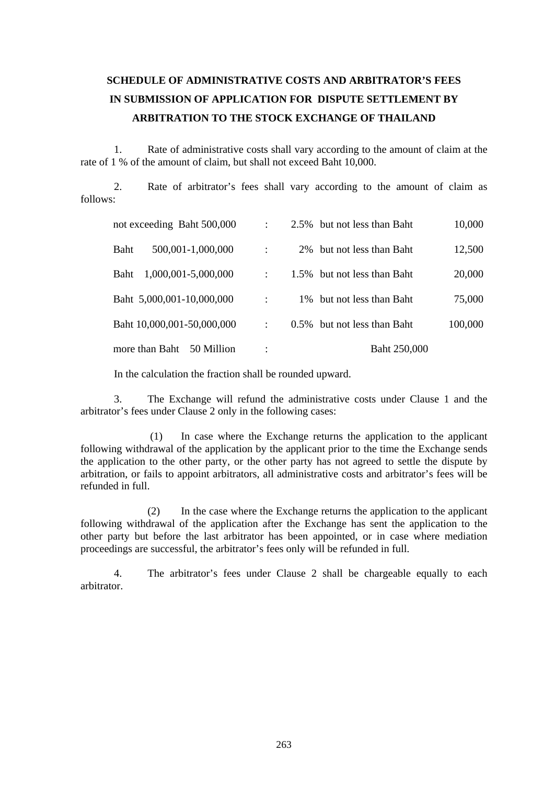# **SCHEDULE OF ADMINISTRATIVE COSTS AND ARBITRATOR'S FEES IN SUBMISSION OF APPLICATION FOR DISPUTE SETTLEMENT BY ARBITRATION TO THE STOCK EXCHANGE OF THAILAND**

1. Rate of administrative costs shall vary according to the amount of claim at the rate of 1 % of the amount of claim, but shall not exceed Baht 10,000.

2. Rate of arbitrator's fees shall vary according to the amount of claim as follows:

| not exceeding Baht 500,000         | $\ddot{\cdot}$       | 2.5% but not less than Baht | 10,000  |
|------------------------------------|----------------------|-----------------------------|---------|
| Baht<br>500,001-1,000,000          |                      | 2\% but not less than Baht  | 12,500  |
| 1,000,001-5,000,000<br><b>Baht</b> |                      | 1.5% but not less than Baht | 20,000  |
| Baht 5,000,001-10,000,000          | $\ddot{\phantom{a}}$ | 1\% but not less than Baht  | 75,000  |
| Baht 10,000,001-50,000,000         | $\ddot{\cdot}$       | 0.5% but not less than Baht | 100,000 |
| more than Baht<br>50 Million       |                      | Baht 250,000                |         |

In the calculation the fraction shall be rounded upward.

3. The Exchange will refund the administrative costs under Clause 1 and the arbitrator's fees under Clause 2 only in the following cases:

 (1) In case where the Exchange returns the application to the applicant following withdrawal of the application by the applicant prior to the time the Exchange sends the application to the other party, or the other party has not agreed to settle the dispute by arbitration, or fails to appoint arbitrators, all administrative costs and arbitrator's fees will be refunded in full.

(2) In the case where the Exchange returns the application to the applicant following withdrawal of the application after the Exchange has sent the application to the other party but before the last arbitrator has been appointed, or in case where mediation proceedings are successful, the arbitrator's fees only will be refunded in full.

4. The arbitrator's fees under Clause 2 shall be chargeable equally to each arbitrator.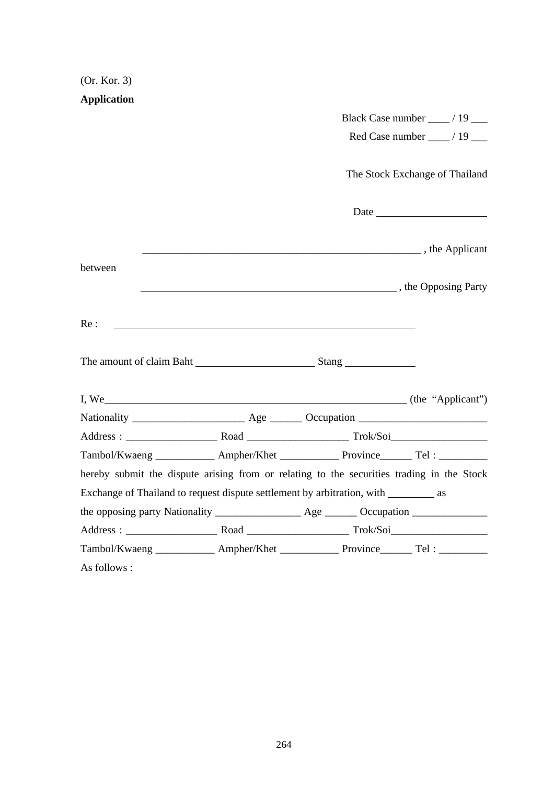| (Or. Kor. 3)                                                                              |                                                                                                                                                                                                                                      |                                                  |
|-------------------------------------------------------------------------------------------|--------------------------------------------------------------------------------------------------------------------------------------------------------------------------------------------------------------------------------------|--------------------------------------------------|
| <b>Application</b>                                                                        |                                                                                                                                                                                                                                      |                                                  |
|                                                                                           |                                                                                                                                                                                                                                      |                                                  |
|                                                                                           |                                                                                                                                                                                                                                      | Red Case number $\frac{1}{2}$ / 19 $\frac{1}{2}$ |
|                                                                                           |                                                                                                                                                                                                                                      | The Stock Exchange of Thailand                   |
|                                                                                           |                                                                                                                                                                                                                                      |                                                  |
|                                                                                           | <b>EXAMPLE 2.1 THE EXAMPLE 2.1 THE EXAMPLE 2.1 THE EXAMPLE 2.1 THE EXAMPLE 2.1 THE EXAMPLE 2.1 THE EXAMPLE 2.1 THE EXAMPLE 2.1 THE EXAMPLE 2.1 THE EXAMPLE 2.1 THE EXAMPLE 2.1 THE EXAMPLE 2.1 THE EXAMPLE 2.1 THE EXAMPLE 2.1 T</b> |                                                  |
| between                                                                                   | The Opposing Party and South Company and South Assembly the Opposing Party                                                                                                                                                           |                                                  |
| Re:                                                                                       |                                                                                                                                                                                                                                      |                                                  |
|                                                                                           |                                                                                                                                                                                                                                      |                                                  |
|                                                                                           |                                                                                                                                                                                                                                      |                                                  |
|                                                                                           |                                                                                                                                                                                                                                      |                                                  |
|                                                                                           |                                                                                                                                                                                                                                      |                                                  |
| Tambol/Kwaeng ____________ Ampher/Khet ______________ Province________ Tel: _________     |                                                                                                                                                                                                                                      |                                                  |
| hereby submit the dispute arising from or relating to the securities trading in the Stock |                                                                                                                                                                                                                                      |                                                  |
| Exchange of Thailand to request dispute settlement by arbitration, with __________ as     |                                                                                                                                                                                                                                      |                                                  |
|                                                                                           |                                                                                                                                                                                                                                      |                                                  |
|                                                                                           |                                                                                                                                                                                                                                      |                                                  |
| Tambol/Kwaeng ____________ Ampher/Khet ____________ Province_______ Tel: ________         |                                                                                                                                                                                                                                      |                                                  |
| As follows :                                                                              |                                                                                                                                                                                                                                      |                                                  |